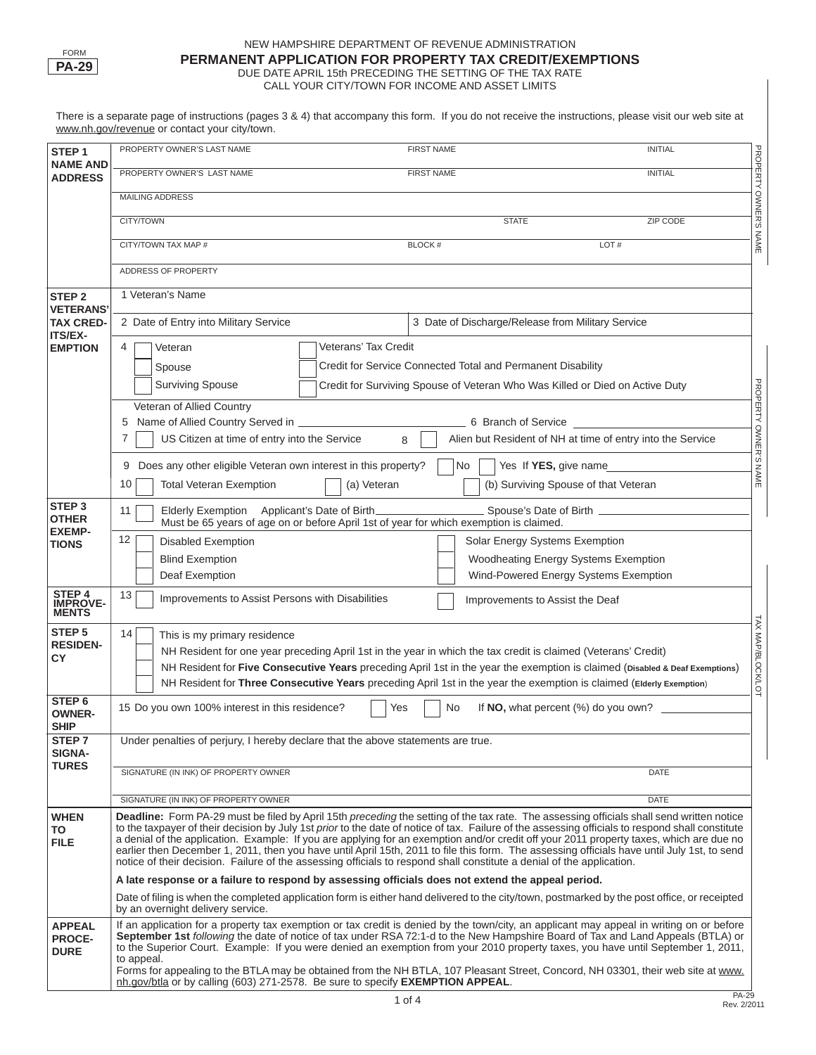

#### NEW HAMPSHIRE DEPARTMENT OF REVENUE ADMINISTRATION **PERMANENT APPLICATION FOR PROPERTY TAX CREDIT/EXEMPTIONS**  DUE DATE APRIL 15th PRECEDING THE SETTING OF THE TAX RATE CALL YOUR CITY/TOWN FOR INCOME AND ASSET LIMITS

There is a separate page of instructions (pages 3 & 4) that accompany this form. If you do not receive the instructions, please visit our web site at www.nh.gov/revenue or contact your city/town.

| STEP <sub>1</sub><br><b>NAME AND</b>          | PROPERTY OWNER'S LAST NAME                                                                                                                                                                                                                                                                                                                                                                                                                                                                                                                                                                                                                                                                                       |                                                                                                                              | <b>FIRST NAME</b>                                                                                                              | <b>INITIAL</b>                |  |  |  |
|-----------------------------------------------|------------------------------------------------------------------------------------------------------------------------------------------------------------------------------------------------------------------------------------------------------------------------------------------------------------------------------------------------------------------------------------------------------------------------------------------------------------------------------------------------------------------------------------------------------------------------------------------------------------------------------------------------------------------------------------------------------------------|------------------------------------------------------------------------------------------------------------------------------|--------------------------------------------------------------------------------------------------------------------------------|-------------------------------|--|--|--|
| <b>ADDRESS</b>                                | PROPERTY OWNER'S LAST NAME                                                                                                                                                                                                                                                                                                                                                                                                                                                                                                                                                                                                                                                                                       |                                                                                                                              | <b>FIRST NAME</b>                                                                                                              | <b>INITIAL</b>                |  |  |  |
|                                               | <b>MAILING ADDRESS</b>                                                                                                                                                                                                                                                                                                                                                                                                                                                                                                                                                                                                                                                                                           |                                                                                                                              |                                                                                                                                |                               |  |  |  |
|                                               | <b>CITY/TOWN</b>                                                                                                                                                                                                                                                                                                                                                                                                                                                                                                                                                                                                                                                                                                 |                                                                                                                              | <b>STATE</b>                                                                                                                   | <b>ZIP CODE</b>               |  |  |  |
|                                               | CITY/TOWN TAX MAP #                                                                                                                                                                                                                                                                                                                                                                                                                                                                                                                                                                                                                                                                                              |                                                                                                                              | <b>BLOCK#</b>                                                                                                                  | PROPERTY OWNER'S NAME<br>LOT# |  |  |  |
|                                               | ADDRESS OF PROPERTY                                                                                                                                                                                                                                                                                                                                                                                                                                                                                                                                                                                                                                                                                              |                                                                                                                              |                                                                                                                                |                               |  |  |  |
| <b>STEP 2</b>                                 | 1 Veteran's Name                                                                                                                                                                                                                                                                                                                                                                                                                                                                                                                                                                                                                                                                                                 |                                                                                                                              |                                                                                                                                |                               |  |  |  |
| <b>VETERANS</b>                               |                                                                                                                                                                                                                                                                                                                                                                                                                                                                                                                                                                                                                                                                                                                  |                                                                                                                              |                                                                                                                                |                               |  |  |  |
| <b>TAX CRED-</b><br>ITS/EX-                   | 2 Date of Entry into Military Service                                                                                                                                                                                                                                                                                                                                                                                                                                                                                                                                                                                                                                                                            |                                                                                                                              | 3 Date of Discharge/Release from Military Service                                                                              |                               |  |  |  |
| <b>EMPTION</b>                                | 4<br>Veteran                                                                                                                                                                                                                                                                                                                                                                                                                                                                                                                                                                                                                                                                                                     | Veterans' Tax Credit                                                                                                         |                                                                                                                                |                               |  |  |  |
|                                               | Spouse                                                                                                                                                                                                                                                                                                                                                                                                                                                                                                                                                                                                                                                                                                           |                                                                                                                              | Credit for Service Connected Total and Permanent Disability                                                                    |                               |  |  |  |
|                                               | <b>Surviving Spouse</b>                                                                                                                                                                                                                                                                                                                                                                                                                                                                                                                                                                                                                                                                                          |                                                                                                                              | Credit for Surviving Spouse of Veteran Who Was Killed or Died on Active Duty                                                   |                               |  |  |  |
|                                               | Veteran of Allied Country                                                                                                                                                                                                                                                                                                                                                                                                                                                                                                                                                                                                                                                                                        |                                                                                                                              |                                                                                                                                | <b>PROPERTY</b>               |  |  |  |
|                                               | 5 Name of Allied Country Served in ________________<br>$\overline{7}$                                                                                                                                                                                                                                                                                                                                                                                                                                                                                                                                                                                                                                            |                                                                                                                              | 6 Branch of Service <b>Sandware Strutter</b>                                                                                   |                               |  |  |  |
|                                               | US Citizen at time of entry into the Service                                                                                                                                                                                                                                                                                                                                                                                                                                                                                                                                                                                                                                                                     | 8                                                                                                                            | Alien but Resident of NH at time of entry into the Service                                                                     | <b>OWNER'S</b>                |  |  |  |
|                                               | Does any other eligible Veteran own interest in this property?<br>9                                                                                                                                                                                                                                                                                                                                                                                                                                                                                                                                                                                                                                              |                                                                                                                              | Yes If YES, give name<br>No                                                                                                    | <b>NAME</b>                   |  |  |  |
|                                               | 10<br><b>Total Veteran Exemption</b>                                                                                                                                                                                                                                                                                                                                                                                                                                                                                                                                                                                                                                                                             | (a) Veteran                                                                                                                  | (b) Surviving Spouse of that Veteran                                                                                           |                               |  |  |  |
| STEP <sub>3</sub><br><b>OTHER</b>             | Elderly Exemption Applicant's Date of Birth_<br>11                                                                                                                                                                                                                                                                                                                                                                                                                                                                                                                                                                                                                                                               |                                                                                                                              | Spouse's Date of Birth _____________<br>Must be 65 years of age on or before April 1st of year for which exemption is claimed. |                               |  |  |  |
| <b>EXEMP-</b><br><b>TIONS</b>                 | 12<br><b>Disabled Exemption</b>                                                                                                                                                                                                                                                                                                                                                                                                                                                                                                                                                                                                                                                                                  |                                                                                                                              | Solar Energy Systems Exemption                                                                                                 |                               |  |  |  |
|                                               | <b>Blind Exemption</b>                                                                                                                                                                                                                                                                                                                                                                                                                                                                                                                                                                                                                                                                                           |                                                                                                                              | Woodheating Energy Systems Exemption                                                                                           |                               |  |  |  |
|                                               | Deaf Exemption                                                                                                                                                                                                                                                                                                                                                                                                                                                                                                                                                                                                                                                                                                   |                                                                                                                              | Wind-Powered Energy Systems Exemption                                                                                          |                               |  |  |  |
| STEP 4<br>IMPROVE-<br><b>MENTS</b>            | 13<br>Improvements to Assist Persons with Disabilities                                                                                                                                                                                                                                                                                                                                                                                                                                                                                                                                                                                                                                                           |                                                                                                                              | Improvements to Assist the Deaf                                                                                                |                               |  |  |  |
| STEP <sub>5</sub>                             | 14<br>This is my primary residence                                                                                                                                                                                                                                                                                                                                                                                                                                                                                                                                                                                                                                                                               |                                                                                                                              |                                                                                                                                |                               |  |  |  |
| <b>RESIDEN-</b><br><b>CY</b>                  |                                                                                                                                                                                                                                                                                                                                                                                                                                                                                                                                                                                                                                                                                                                  |                                                                                                                              | NH Resident for one year preceding April 1st in the year in which the tax credit is claimed (Veterans' Credit)                 |                               |  |  |  |
|                                               |                                                                                                                                                                                                                                                                                                                                                                                                                                                                                                                                                                                                                                                                                                                  | NH Resident for Five Consecutive Years preceding April 1st in the year the exemption is claimed (Disabled & Deaf Exemptions) | <b>TAX MAP/BLOCK/LOT</b>                                                                                                       |                               |  |  |  |
| STEP <sub>6</sub>                             |                                                                                                                                                                                                                                                                                                                                                                                                                                                                                                                                                                                                                                                                                                                  |                                                                                                                              | NH Resident for Three Consecutive Years preceding April 1st in the year the exemption is claimed (Elderly Exemption)           |                               |  |  |  |
| <b>OWNER-</b><br><b>SHIP</b>                  | 15 Do you own 100% interest in this residence?                                                                                                                                                                                                                                                                                                                                                                                                                                                                                                                                                                                                                                                                   | Yes                                                                                                                          | No<br>If NO, what percent (%) do you own?                                                                                      |                               |  |  |  |
| STEP 7<br><b>SIGNA-</b>                       | Under penalties of perjury, I hereby declare that the above statements are true.                                                                                                                                                                                                                                                                                                                                                                                                                                                                                                                                                                                                                                 |                                                                                                                              |                                                                                                                                |                               |  |  |  |
| <b>TURES</b>                                  | SIGNATURE (IN INK) OF PROPERTY OWNER                                                                                                                                                                                                                                                                                                                                                                                                                                                                                                                                                                                                                                                                             |                                                                                                                              |                                                                                                                                | <b>DATE</b>                   |  |  |  |
|                                               | SIGNATURE (IN INK) OF PROPERTY OWNER                                                                                                                                                                                                                                                                                                                                                                                                                                                                                                                                                                                                                                                                             |                                                                                                                              |                                                                                                                                | <b>DATE</b>                   |  |  |  |
| <b>WHEN</b><br>TO<br><b>FILE</b>              | Deadline: Form PA-29 must be filed by April 15th preceding the setting of the tax rate. The assessing officials shall send written notice<br>to the taxpayer of their decision by July 1st prior to the date of notice of tax. Failure of the assessing officials to respond shall constitute<br>a denial of the application. Example: If you are applying for an exemption and/or credit off your 2011 property taxes, which are due no<br>earlier then December 1, 2011, then you have until April 15th, 2011 to file this form. The assessing officials have until July 1st, to send<br>notice of their decision. Failure of the assessing officials to respond shall constitute a denial of the application. |                                                                                                                              |                                                                                                                                |                               |  |  |  |
|                                               | A late response or a failure to respond by assessing officials does not extend the appeal period.                                                                                                                                                                                                                                                                                                                                                                                                                                                                                                                                                                                                                |                                                                                                                              |                                                                                                                                |                               |  |  |  |
|                                               | Date of filing is when the completed application form is either hand delivered to the city/town, postmarked by the post office, or receipted<br>by an overnight delivery service.                                                                                                                                                                                                                                                                                                                                                                                                                                                                                                                                |                                                                                                                              |                                                                                                                                |                               |  |  |  |
| <b>APPEAL</b><br><b>PROCE-</b><br><b>DURE</b> | If an application for a property tax exemption or tax credit is denied by the town/city, an applicant may appeal in writing on or before<br>September 1st following the date of notice of tax under RSA 72:1-d to the New Hampshire Board of Tax and Land Appeals (BTLA) or<br>to the Superior Court. Example: If you were denied an exemption from your 2010 property taxes, you have until September 1, 2011,<br>to appeal.                                                                                                                                                                                                                                                                                    |                                                                                                                              |                                                                                                                                |                               |  |  |  |
|                                               | Forms for appealing to the BTLA may be obtained from the NH BTLA, 107 Pleasant Street, Concord, NH 03301, their web site at www.<br>nh.gov/btla or by calling (603) 271-2578. Be sure to specify <b>EXEMPTION APPEAL</b> .                                                                                                                                                                                                                                                                                                                                                                                                                                                                                       |                                                                                                                              |                                                                                                                                |                               |  |  |  |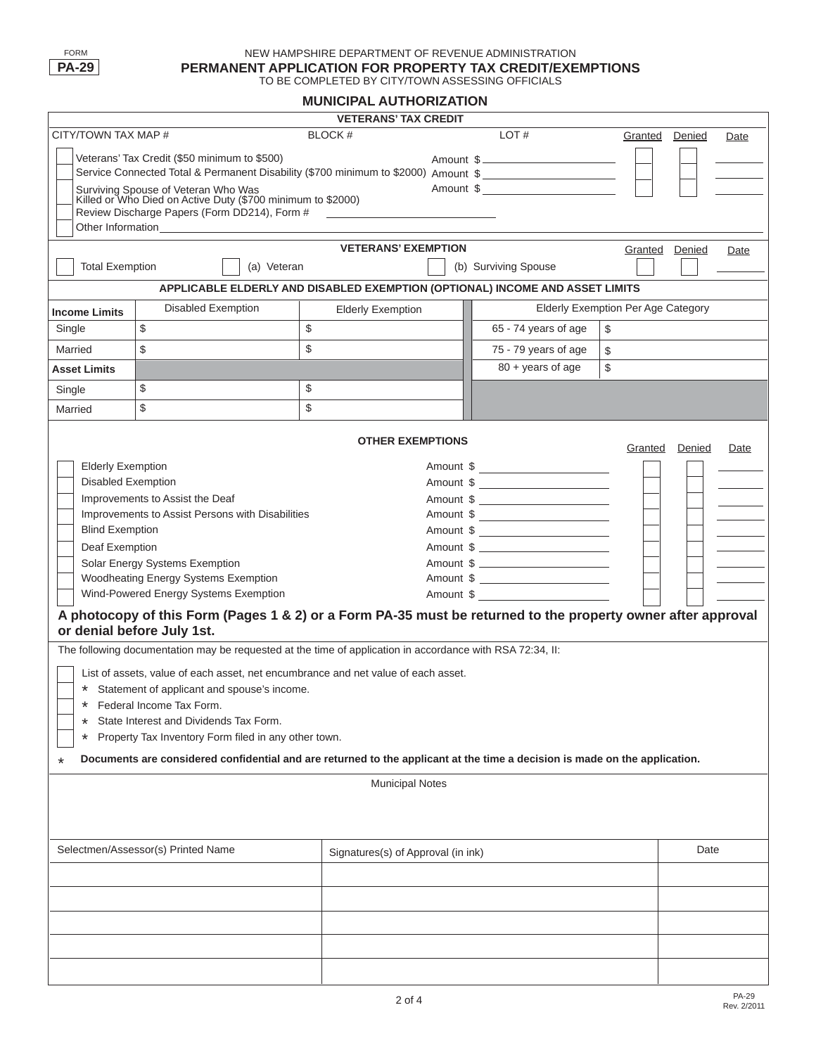#### NEW HAMPSHIRE DEPARTMENT OF REVENUE ADMINISTRATION **PERMANENT APPLICATION FOR PROPERTY TAX CREDIT/EXEMPTIONS**  TO BE COMPLETED BY CITY/TOWN ASSESSING OFFICIALS

## **MUNICIPAL AUTHORIZATION**

| <b>VETERANS' TAX CREDIT</b>                                                                                                            |                                                                                                                                    |                            |           |                                                  |         |                |      |
|----------------------------------------------------------------------------------------------------------------------------------------|------------------------------------------------------------------------------------------------------------------------------------|----------------------------|-----------|--------------------------------------------------|---------|----------------|------|
| CITY/TOWN TAX MAP #                                                                                                                    | BLOCK#                                                                                                                             |                            | LOT#      | Granted                                          | Denied  | Date           |      |
| Veterans' Tax Credit (\$50 minimum to \$500)                                                                                           |                                                                                                                                    |                            |           | Amount \$                                        |         |                |      |
| Service Connected Total & Permanent Disability (\$700 minimum to \$2000) Amount \$                                                     |                                                                                                                                    |                            |           |                                                  |         |                |      |
|                                                                                                                                        | Surviving Spouse of Veteran Who Was<br>Killed or Who Died on Active Duty (\$700 minimum to \$2000)                                 |                            |           | Amount \$                                        |         |                |      |
|                                                                                                                                        |                                                                                                                                    |                            |           |                                                  |         |                |      |
|                                                                                                                                        |                                                                                                                                    |                            |           |                                                  |         |                |      |
|                                                                                                                                        |                                                                                                                                    | <b>VETERANS' EXEMPTION</b> |           |                                                  |         | Granted Denied | Date |
| <b>Total Exemption</b>                                                                                                                 | (a) Veteran                                                                                                                        |                            |           | (b) Surviving Spouse                             |         |                |      |
|                                                                                                                                        | APPLICABLE ELDERLY AND DISABLED EXEMPTION (OPTIONAL) INCOME AND ASSET LIMITS                                                       |                            |           |                                                  |         |                |      |
| <b>Income Limits</b>                                                                                                                   | <b>Disabled Exemption</b>                                                                                                          | <b>Elderly Exemption</b>   |           | <b>Elderly Exemption Per Age Category</b>        |         |                |      |
| Single                                                                                                                                 | \$                                                                                                                                 | \$                         |           | 65 - 74 years of age                             | \$      |                |      |
| Married                                                                                                                                | \$                                                                                                                                 | \$                         |           | 75 - 79 years of age                             | \$      |                |      |
| <b>Asset Limits</b>                                                                                                                    |                                                                                                                                    |                            |           | 80 + years of age                                | \$      |                |      |
| Single                                                                                                                                 | \$                                                                                                                                 | \$                         |           |                                                  |         |                |      |
| Married                                                                                                                                | \$                                                                                                                                 | \$                         |           |                                                  |         |                |      |
|                                                                                                                                        |                                                                                                                                    |                            |           |                                                  |         |                |      |
|                                                                                                                                        |                                                                                                                                    | <b>OTHER EXEMPTIONS</b>    |           |                                                  | Granted | Denied         | Date |
| <b>Elderly Exemption</b>                                                                                                               |                                                                                                                                    |                            |           |                                                  |         |                |      |
| <b>Disabled Exemption</b>                                                                                                              |                                                                                                                                    |                            |           |                                                  |         |                |      |
|                                                                                                                                        | Improvements to Assist the Deaf                                                                                                    |                            |           | Amount \$                                        |         |                |      |
|                                                                                                                                        | Improvements to Assist Persons with Disabilities                                                                                   |                            |           | Amount \$                                        |         |                |      |
| <b>Blind Exemption</b>                                                                                                                 |                                                                                                                                    |                            |           |                                                  |         |                |      |
| Deaf Exemption                                                                                                                         |                                                                                                                                    |                            |           | Amount \$                                        |         |                |      |
|                                                                                                                                        | Solar Energy Systems Exemption                                                                                                     |                            |           | Amount \$<br>Amount \$ _________________________ |         |                |      |
| Woodheating Energy Systems Exemption<br>Wind-Powered Energy Systems Exemption                                                          |                                                                                                                                    |                            | Amount \$ |                                                  |         |                |      |
|                                                                                                                                        | A photocopy of this Form (Pages 1 & 2) or a Form PA-35 must be returned to the property owner after approval                       |                            |           |                                                  |         |                |      |
|                                                                                                                                        | or denial before July 1st.                                                                                                         |                            |           |                                                  |         |                |      |
|                                                                                                                                        | The following documentation may be requested at the time of application in accordance with RSA 72:34, II:                          |                            |           |                                                  |         |                |      |
|                                                                                                                                        |                                                                                                                                    |                            |           |                                                  |         |                |      |
|                                                                                                                                        | List of assets, value of each asset, net encumbrance and net value of each asset.<br>* Statement of applicant and spouse's income. |                            |           |                                                  |         |                |      |
| $\ast$                                                                                                                                 | Federal Income Tax Form.                                                                                                           |                            |           |                                                  |         |                |      |
| *                                                                                                                                      | State Interest and Dividends Tax Form.                                                                                             |                            |           |                                                  |         |                |      |
| Property Tax Inventory Form filed in any other town.<br>*                                                                              |                                                                                                                                    |                            |           |                                                  |         |                |      |
| Documents are considered confidential and are returned to the applicant at the time a decision is made on the application.<br>$^\star$ |                                                                                                                                    |                            |           |                                                  |         |                |      |
| <b>Municipal Notes</b>                                                                                                                 |                                                                                                                                    |                            |           |                                                  |         |                |      |
|                                                                                                                                        |                                                                                                                                    |                            |           |                                                  |         |                |      |
|                                                                                                                                        |                                                                                                                                    |                            |           |                                                  |         |                |      |
|                                                                                                                                        |                                                                                                                                    |                            |           |                                                  |         |                |      |
| Selectmen/Assessor(s) Printed Name<br>Signatures(s) of Approval (in ink)                                                               |                                                                                                                                    |                            |           |                                                  | Date    |                |      |
|                                                                                                                                        |                                                                                                                                    |                            |           |                                                  |         |                |      |
|                                                                                                                                        |                                                                                                                                    |                            |           |                                                  |         |                |      |
|                                                                                                                                        |                                                                                                                                    |                            |           |                                                  |         |                |      |
|                                                                                                                                        |                                                                                                                                    |                            |           |                                                  |         |                |      |
|                                                                                                                                        |                                                                                                                                    |                            |           |                                                  |         |                |      |
|                                                                                                                                        |                                                                                                                                    |                            |           |                                                  |         |                |      |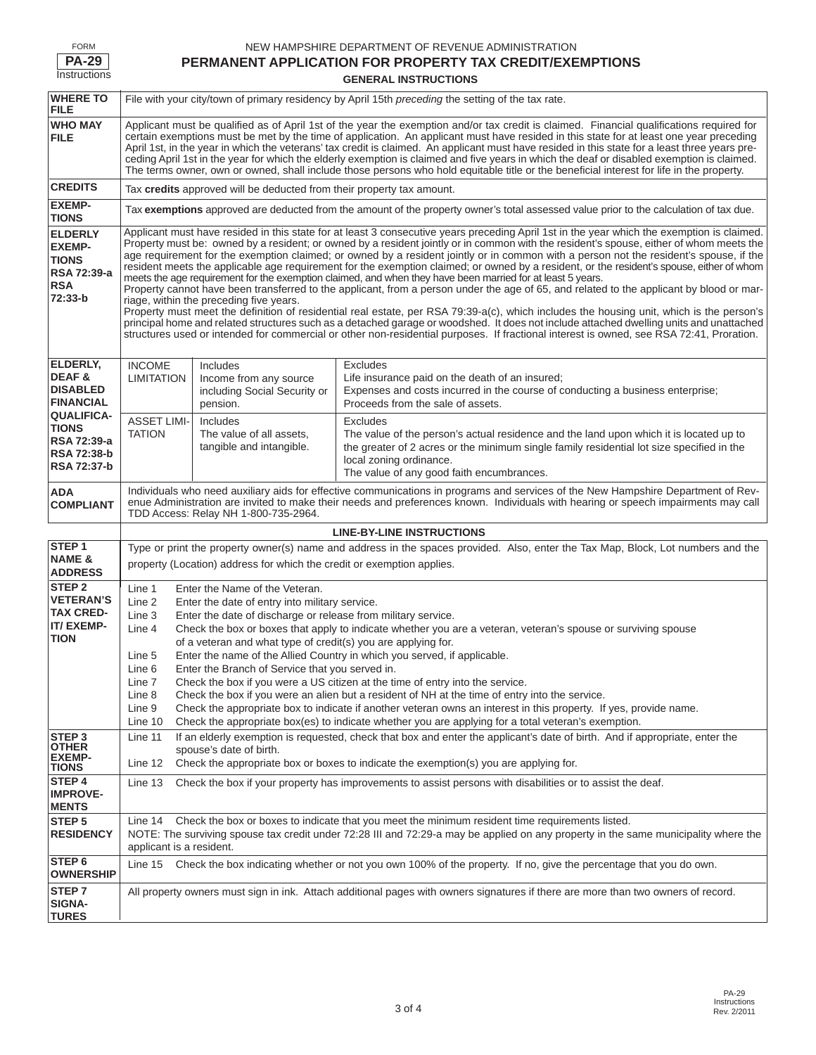| )RM          |
|--------------|
| Р∆-2<br>'ч   |
| Instructions |

#### NEW HAMPSHIRE DEPARTMENT OF REVENUE ADMINISTRATION **PERMANENT APPLICATION FOR PROPERTY TAX CREDIT/EXEMPTIONS**

## **GENERAL INSTRUCTIONS**

| <b>WHERE TO</b><br><b>FILE</b>                                                          | File with your city/town of primary residency by April 15th <i>preceding</i> the setting of the tax rate.                                                                                                                                                                                                                                                                                                                                                                                                                                                                                                                                                                                                                                                                                                                                                                                                                                                                                                                                                                                                                                                                                                                                                                                                            |                                                                                |                                                                                                                                                                                                                                                                                |  |
|-----------------------------------------------------------------------------------------|----------------------------------------------------------------------------------------------------------------------------------------------------------------------------------------------------------------------------------------------------------------------------------------------------------------------------------------------------------------------------------------------------------------------------------------------------------------------------------------------------------------------------------------------------------------------------------------------------------------------------------------------------------------------------------------------------------------------------------------------------------------------------------------------------------------------------------------------------------------------------------------------------------------------------------------------------------------------------------------------------------------------------------------------------------------------------------------------------------------------------------------------------------------------------------------------------------------------------------------------------------------------------------------------------------------------|--------------------------------------------------------------------------------|--------------------------------------------------------------------------------------------------------------------------------------------------------------------------------------------------------------------------------------------------------------------------------|--|
| <b>WHO MAY</b><br><b>FILE</b>                                                           | Applicant must be qualified as of April 1st of the year the exemption and/or tax credit is claimed. Financial qualifications required for<br>certain exemptions must be met by the time of application. An applicant must have resided in this state for at least one year preceding<br>April 1st, in the year in which the veterans' tax credit is claimed. An applicant must have resided in this state for a least three years pre-<br>ceding April 1st in the year for which the elderly exemption is claimed and five years in which the deaf or disabled exemption is claimed.<br>The terms owner, own or owned, shall include those persons who hold equitable title or the beneficial interest for life in the property.                                                                                                                                                                                                                                                                                                                                                                                                                                                                                                                                                                                     |                                                                                |                                                                                                                                                                                                                                                                                |  |
| <b>CREDITS</b>                                                                          | Tax credits approved will be deducted from their property tax amount.                                                                                                                                                                                                                                                                                                                                                                                                                                                                                                                                                                                                                                                                                                                                                                                                                                                                                                                                                                                                                                                                                                                                                                                                                                                |                                                                                |                                                                                                                                                                                                                                                                                |  |
| <b>EXEMP-</b><br><b>TIONS</b>                                                           |                                                                                                                                                                                                                                                                                                                                                                                                                                                                                                                                                                                                                                                                                                                                                                                                                                                                                                                                                                                                                                                                                                                                                                                                                                                                                                                      |                                                                                | Tax exemptions approved are deducted from the amount of the property owner's total assessed value prior to the calculation of tax due.                                                                                                                                         |  |
| <b>ELDERLY</b><br><b>EXEMP-</b><br><b>TIONS</b><br>RSA 72:39-a<br><b>RSA</b><br>72:33-b | Applicant must have resided in this state for at least 3 consecutive years preceding April 1st in the year which the exemption is claimed.<br>Property must be: owned by a resident; or owned by a resident jointly or in common with the resident's spouse, either of whom meets the<br>age requirement for the exemption claimed; or owned by a resident jointly or in common with a person not the resident's spouse, if the<br>resident meets the applicable age requirement for the exemption claimed; or owned by a resident, or the resident's spouse, either of whom<br>meets the age requirement for the exemption claimed, and when they have been married for at least 5 years.<br>Property cannot have been transferred to the applicant, from a person under the age of 65, and related to the applicant by blood or mar-<br>riage, within the preceding five years.<br>Property must meet the definition of residential real estate, per RSA 79:39-a(c), which includes the housing unit, which is the person's<br>principal home and related structures such as a detached garage or woodshed. It does not include attached dwelling units and unattached<br>structures used or intended for commercial or other non-residential purposes. If fractional interest is owned, see RSA 72:41, Proration. |                                                                                |                                                                                                                                                                                                                                                                                |  |
| ELDERLY,<br>DEAF&<br><b>DISABLED</b><br><b>FINANCIAL</b>                                | <b>INCOME</b><br><b>LIMITATION</b>                                                                                                                                                                                                                                                                                                                                                                                                                                                                                                                                                                                                                                                                                                                                                                                                                                                                                                                                                                                                                                                                                                                                                                                                                                                                                   | Includes<br>Income from any source<br>including Social Security or<br>pension. | <b>Excludes</b><br>Life insurance paid on the death of an insured;<br>Expenses and costs incurred in the course of conducting a business enterprise;<br>Proceeds from the sale of assets.                                                                                      |  |
| <b>QUALIFICA-</b><br><b>TIONS</b><br>RSA 72:39-a<br>RSA 72:38-b<br>RSA 72:37-b          | <b>ASSET LIMI-</b><br><b>TATION</b>                                                                                                                                                                                                                                                                                                                                                                                                                                                                                                                                                                                                                                                                                                                                                                                                                                                                                                                                                                                                                                                                                                                                                                                                                                                                                  | Includes<br>The value of all assets,<br>tangible and intangible.               | <b>Excludes</b><br>The value of the person's actual residence and the land upon which it is located up to<br>the greater of 2 acres or the minimum single family residential lot size specified in the<br>local zoning ordinance.<br>The value of any good faith encumbrances. |  |
| ADA<br><b>COMPLIANT</b>                                                                 | Individuals who need auxiliary aids for effective communications in programs and services of the New Hampshire Department of Rev-<br>enue Administration are invited to make their needs and preferences known. Individuals with hearing or speech impairments may call<br>TDD Access: Relay NH 1-800-735-2964.                                                                                                                                                                                                                                                                                                                                                                                                                                                                                                                                                                                                                                                                                                                                                                                                                                                                                                                                                                                                      |                                                                                |                                                                                                                                                                                                                                                                                |  |
|                                                                                         |                                                                                                                                                                                                                                                                                                                                                                                                                                                                                                                                                                                                                                                                                                                                                                                                                                                                                                                                                                                                                                                                                                                                                                                                                                                                                                                      |                                                                                | <b>LINE-BY-LINE INSTRUCTIONS</b>                                                                                                                                                                                                                                               |  |
| STEP <sub>1</sub><br><b>NAME &amp;</b><br><b>ADDRESS</b>                                | Type or print the property owner(s) name and address in the spaces provided. Also, enter the Tax Map, Block, Lot numbers and the<br>property (Location) address for which the credit or exemption applies.                                                                                                                                                                                                                                                                                                                                                                                                                                                                                                                                                                                                                                                                                                                                                                                                                                                                                                                                                                                                                                                                                                           |                                                                                |                                                                                                                                                                                                                                                                                |  |
| STEP <sub>2</sub><br><b>VETERAN'S</b><br><b>TAX CRED-</b><br>IT/EXEMP-<br>TION          | Enter the Name of the Veteran.<br>Line 1<br>Line 2<br>Enter the date of entry into military service.<br>Line 3<br>Enter the date of discharge or release from military service.<br>Check the box or boxes that apply to indicate whether you are a veteran, veteran's spouse or surviving spouse<br>Line 4<br>of a veteran and what type of credit(s) you are applying for.<br>Enter the name of the Allied Country in which you served, if applicable.<br>Line 5<br>Line 6<br>Enter the Branch of Service that you served in.<br>Line 7<br>Check the box if you were a US citizen at the time of entry into the service.<br>Line 8<br>Check the box if you were an alien but a resident of NH at the time of entry into the service.<br>Line 9<br>Check the appropriate box to indicate if another veteran owns an interest in this property. If yes, provide name.<br>Check the appropriate box(es) to indicate whether you are applying for a total veteran's exemption.<br>Line 10                                                                                                                                                                                                                                                                                                                               |                                                                                |                                                                                                                                                                                                                                                                                |  |
| STEP <sub>3</sub><br><b>OTHER</b><br><b>EXEMP-</b><br><b>TIONS</b>                      | If an elderly exemption is requested, check that box and enter the applicant's date of birth. And if appropriate, enter the<br>Line 11<br>spouse's date of birth.<br>Check the appropriate box or boxes to indicate the exemption(s) you are applying for.<br>Line 12                                                                                                                                                                                                                                                                                                                                                                                                                                                                                                                                                                                                                                                                                                                                                                                                                                                                                                                                                                                                                                                |                                                                                |                                                                                                                                                                                                                                                                                |  |
| STEP 4<br><b>IMPROVE-</b><br><b>MENTS</b>                                               | Line 13<br>Check the box if your property has improvements to assist persons with disabilities or to assist the deaf.                                                                                                                                                                                                                                                                                                                                                                                                                                                                                                                                                                                                                                                                                                                                                                                                                                                                                                                                                                                                                                                                                                                                                                                                |                                                                                |                                                                                                                                                                                                                                                                                |  |
| STEP <sub>5</sub><br><b>RESIDENCY</b>                                                   | Check the box or boxes to indicate that you meet the minimum resident time requirements listed.<br>Line 14<br>NOTE: The surviving spouse tax credit under 72:28 III and 72:29-a may be applied on any property in the same municipality where the<br>applicant is a resident.                                                                                                                                                                                                                                                                                                                                                                                                                                                                                                                                                                                                                                                                                                                                                                                                                                                                                                                                                                                                                                        |                                                                                |                                                                                                                                                                                                                                                                                |  |
| STEP <sub>6</sub><br><b>OWNERSHIP</b>                                                   | Line 15 Check the box indicating whether or not you own 100% of the property. If no, give the percentage that you do own.                                                                                                                                                                                                                                                                                                                                                                                                                                                                                                                                                                                                                                                                                                                                                                                                                                                                                                                                                                                                                                                                                                                                                                                            |                                                                                |                                                                                                                                                                                                                                                                                |  |
| STEP <sub>7</sub><br><b>SIGNA-</b><br><b>TURES</b>                                      | All property owners must sign in ink. Attach additional pages with owners signatures if there are more than two owners of record.                                                                                                                                                                                                                                                                                                                                                                                                                                                                                                                                                                                                                                                                                                                                                                                                                                                                                                                                                                                                                                                                                                                                                                                    |                                                                                |                                                                                                                                                                                                                                                                                |  |